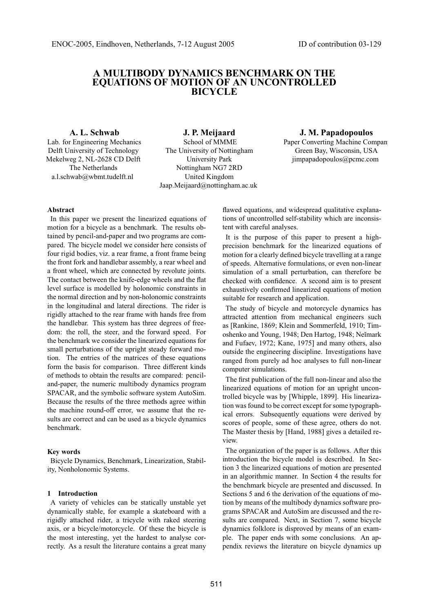# **A MULTIBODY DYNAMICS BENCHMARK ON THE EQUATIONS OF MOTION OF AN UNCONTROLLED BICYCLE**

### **A. L. Schwab**

Lab. for Engineering Mechanics Delft University of Technology Mekelweg 2, NL-2628 CD Delft The Netherlands a.l.schwab@wbmt.tudelft.nl

**J. P. Meijaard** School of MMME The University of Nottingham University Park Nottingham NG7 2RD United Kingdom Jaap.Meijaard@nottingham.ac.uk

# **J. M. Papadopoulos**

Paper Converting Machine Compan Green Bay, Wisconsin, USA jimpapadopoulos@pcmc.com

## **Abstract**

In this paper we present the linearized equations of motion for a bicycle as a benchmark. The results obtained by pencil-and-paper and two programs are compared. The bicycle model we consider here consists of four rigid bodies, viz. a rear frame, a front frame being the front fork and handlebar assembly, a rear wheel and a front wheel, which are connected by revolute joints. The contact between the knife-edge wheels and the flat level surface is modelled by holonomic constraints in the normal direction and by non-holonomic constraints in the longitudinal and lateral directions. The rider is rigidly attached to the rear frame with hands free from the handlebar. This system has three degrees of freedom: the roll, the steer, and the forward speed. For the benchmark we consider the linearized equations for small perturbations of the upright steady forward motion. The entries of the matrices of these equations form the basis for comparison. Three different kinds of methods to obtain the results are compared: penciland-paper, the numeric multibody dynamics program SPACAR, and the symbolic software system AutoSim. Because the results of the three methods agree within the machine round-off error, we assume that the results are correct and can be used as a bicycle dynamics benchmark.

### **Key words**

Bicycle Dynamics, Benchmark, Linearization, Stability, Nonholonomic Systems.

### **1 Introduction**

A variety of vehicles can be statically unstable yet dynamically stable, for example a skateboard with a rigidly attached rider, a tricycle with raked steering axis, or a bicycle/motorcycle. Of these the bicycle is the most interesting, yet the hardest to analyse correctly. As a result the literature contains a great many

flawed equations, and widespread qualitative explanations of uncontrolled self-stability which are inconsistent with careful analyses.

It is the purpose of this paper to present a highprecision benchmark for the linearized equations of motion for a clearly defined bicycle travelling at a range of speeds. Alternative formulations, or even non-linear simulation of a small perturbation, can therefore be checked with confidence. A second aim is to present exhaustively confirmed linearized equations of motion suitable for research and application.

The study of bicycle and motorcycle dynamics has attracted attention from mechanical engineers such as [Rankine, 1869; Klein and Sommerfeld, 1910; Timoshenko and Young, 1948; Den Hartog, 1948; Neĭmark and Fufaev, 1972; Kane, 1975] and many others, also outside the engineering discipline. Investigations have ranged from purely ad hoc analyses to full non-linear computer simulations.

The first publication of the full non-linear and also the linearized equations of motion for an upright uncontrolled bicycle was by [Whipple, 1899]. His linearization was found to be correct except for some typographical errors. Subsequently equations were derived by scores of people, some of these agree, others do not. The Master thesis by [Hand, 1988] gives a detailed review.

The organization of the paper is as follows. After this introduction the bicycle model is described. In Section 3 the linearized equations of motion are presented in an algorithmic manner. In Section 4 the results for the benchmark bicycle are presented and discussed. In Sections 5 and 6 the derivation of the equations of motion by means of the multibody dynamics software programs SPACAR and AutoSim are discussed and the results are compared. Next, in Section 7, some bicycle dynamics folklore is disproved by means of an example. The paper ends with some conclusions. An appendix reviews the literature on bicycle dynamics up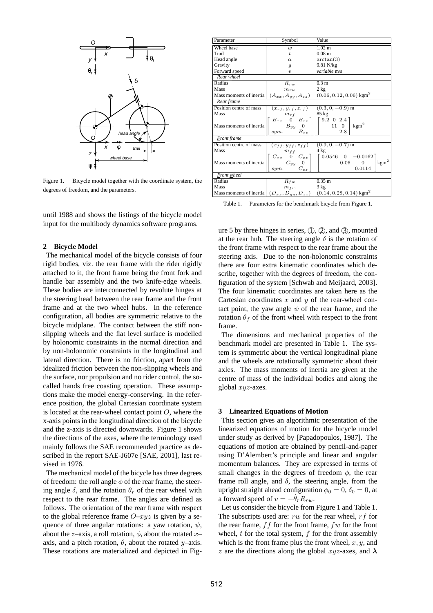

Figure 1. Bicycle model together with the coordinate system, the degrees of freedom, and the parameters.

until 1988 and shows the listings of the bicycle model input for the multibody dynamics software programs.

### **2 Bicycle Model**

The mechanical model of the bicycle consists of four rigid bodies, viz. the rear frame with the rider rigidly attached to it, the front frame being the front fork and handle bar assembly and the two knife-edge wheels. These bodies are interconnected by revolute hinges at the steering head between the rear frame and the front frame and at the two wheel hubs. In the reference configuration, all bodies are symmetric relative to the bicycle midplane. The contact between the stiff nonslipping wheels and the flat level surface is modelled by holonomic constraints in the normal direction and by non-holonomic constraints in the longitudinal and lateral direction. There is no friction, apart from the idealized friction between the non-slipping wheels and the surface, nor propulsion and no rider control, the socalled hands free coasting operation. These assumptions make the model energy-conserving. In the reference position, the global Cartesian coordinate system is located at the rear-wheel contact point  $O$ , where the x-axis points in the longitudinal direction of the bicycle and the z-axis is directed downwards. Figure 1 shows the directions of the axes, where the terminology used mainly follows the SAE recommended practice as described in the report SAE-J607e [SAE, 2001], last revised in 1976.

The mechanical model of the bicycle has three degrees of freedom: the roll angle  $\phi$  of the rear frame, the steering angle  $\delta$ , and the rotation  $\theta_r$  of the rear wheel with respect to the rear frame. The angles are defined as follows. The orientation of the rear frame with respect to the global reference frame  $O-xyz$  is given by a sequence of three angular rotations: a yaw rotation,  $\psi$ , about the z–axis, a roll rotation,  $\phi$ , about the rotated x– axis, and a pitch rotation,  $\theta$ , about the rotated y–axis. These rotations are materialized and depicted in Fig-

| Parameter               |                                                                                                                                               | Value                                                                                                            |  |  |  |  |
|-------------------------|-----------------------------------------------------------------------------------------------------------------------------------------------|------------------------------------------------------------------------------------------------------------------|--|--|--|--|
|                         | Symbol                                                                                                                                        |                                                                                                                  |  |  |  |  |
| Wheel base              | $\boldsymbol{w}$                                                                                                                              | $1.02 \text{ m}$                                                                                                 |  |  |  |  |
| Trail                   | $\ddot{t}$                                                                                                                                    | 0.08 <sub>m</sub>                                                                                                |  |  |  |  |
| Head angle              | $\alpha$                                                                                                                                      | arctan(3)                                                                                                        |  |  |  |  |
| Gravity                 | g                                                                                                                                             | 9.81 N/kg                                                                                                        |  |  |  |  |
| Forward speed           | $\boldsymbol{v}$                                                                                                                              | variable m/s                                                                                                     |  |  |  |  |
| Rear wheel              |                                                                                                                                               |                                                                                                                  |  |  |  |  |
| Radius                  | $R_{rw}$                                                                                                                                      | 0.3 m                                                                                                            |  |  |  |  |
| Mass                    | $m_{\tau w}$                                                                                                                                  | 2 kg                                                                                                             |  |  |  |  |
| Mass moments of inertia | $(A_{xx}, A_{yy}, A_{zz})$                                                                                                                    | $(0.06, 0.12, 0.06)$ kgm <sup>2</sup>                                                                            |  |  |  |  |
| Rear frame              |                                                                                                                                               |                                                                                                                  |  |  |  |  |
| Position centre of mass | $(x_{rf}, y_{rf}, z_{rf})$                                                                                                                    | $(0.3, 0, -0.9)$ m                                                                                               |  |  |  |  |
| Mass                    | $m_{rf}$                                                                                                                                      | $85 \text{ kg}$                                                                                                  |  |  |  |  |
| Mass moments of inertia | $\begin{bmatrix} B_{xx} & 0 & B_{xz} \\ B_{yy} & 0 \end{bmatrix} \begin{bmatrix} 9.2 & 0 & 2.4 \\ & 11 & 0 \end{bmatrix}$<br>$B_{zz}$<br>sym. | kgm <sup>2</sup><br>2.8                                                                                          |  |  |  |  |
| Front frame             |                                                                                                                                               |                                                                                                                  |  |  |  |  |
| Position centre of mass | $(x_{ff}, y_{ff}, z_{ff})$                                                                                                                    | $(0.9, 0, -0.7)$ m                                                                                               |  |  |  |  |
| Mass                    |                                                                                                                                               | $4 \text{ kg}$                                                                                                   |  |  |  |  |
| Mass moments of inertia | $\begin{array}{c} m_{ff} \\ C_{xx} \stackrel{0}{\stackrel{0}{\sim}} C_{xz} \\ C_{yy} \stackrel{0}{\stackrel{0}{\sim}} \end{array}$            | $0.0546 \quad 0 \quad -0.0162$<br>0.06<br>$\Omega$                                                               |  |  |  |  |
|                         | $C_{zz}$<br>sum.                                                                                                                              | $\mathrm{kgm}^2$<br>0.0114                                                                                       |  |  |  |  |
| Front wheel             |                                                                                                                                               |                                                                                                                  |  |  |  |  |
| Radius                  | $R_{fw}$                                                                                                                                      | 0.35 m                                                                                                           |  |  |  |  |
| Mass                    | $m_{fw}$                                                                                                                                      | 3 kg                                                                                                             |  |  |  |  |
|                         |                                                                                                                                               | Mass moments of inertia $\left( D_{xx}, D_{yy}, D_{zz} \right) \left( 0.14, 0.28, 0.14 \right)$ kgm <sup>2</sup> |  |  |  |  |

Table 1. Parameters for the benchmark bicycle from Figure 1.

ure 5 by three hinges in series,  $(1)$ ,  $(2)$ , and  $(3)$ , mounted at the rear hub. The steering angle  $\delta$  is the rotation of the front frame with respect to the rear frame about the steering axis. Due to the non-holonomic constraints there are four extra kinematic coordinates which describe, together with the degrees of freedom, the configuration of the system [Schwab and Meijaard, 2003]. The four kinematic coordinates are taken here as the Cartesian coordinates  $x$  and  $y$  of the rear-wheel contact point, the yaw angle  $\psi$  of the rear frame, and the rotation  $\theta_f$  of the front wheel with respect to the front frame.

The dimensions and mechanical properties of the benchmark model are presented in Table 1. The system is symmetric about the vertical longitudinal plane and the wheels are rotationally symmetric about their axles. The mass moments of inertia are given at the centre of mass of the individual bodies and along the global  $xyz$ -axes.

### **3 Linearized Equations of Motion**

This section gives an algorithmic presentation of the linearized equations of motion for the bicycle model under study as derived by [Papadopoulos, 1987]. The equations of motion are obtained by pencil-and-paper using D'Alembert's principle and linear and angular momentum balances. They are expressed in terms of small changes in the degrees of freedom  $\phi$ , the rear frame roll angle, and  $\delta$ , the steering angle, from the upright straight ahead configuration  $\phi_0 = 0$ ,  $\delta_0 = 0$ , at a forward speed of  $v = -\dot{\theta}_r R_{rw}$ .

Let us consider the bicycle from Figure 1 and Table 1. The subscripts used are:  $rw$  for the rear wheel,  $rf$  for the rear frame,  $f\dot{f}$  for the front frame,  $f\dot{f}$  for the front wheel,  $t$  for the total system,  $f$  for the front assembly which is the front frame plus the front wheel,  $x, y$ , and z are the directions along the global  $xyz$ -axes, and  $\lambda$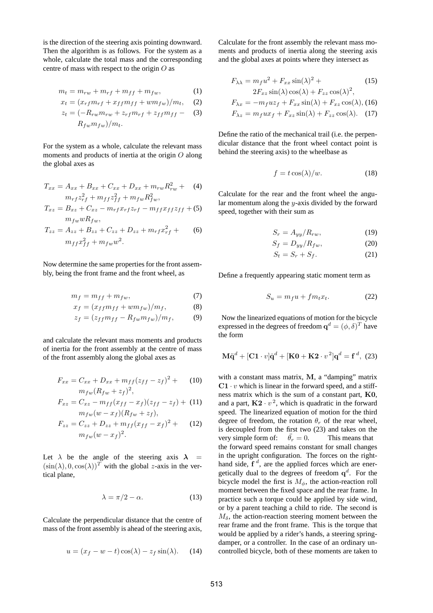is the direction of the steering axis pointing downward. Then the algorithm is as follows. For the system as a whole, calculate the total mass and the corresponding centre of mass with respect to the origin  $O$  as

$$
m_t = m_{rw} + m_{rf} + m_{ff} + m_{fw}, \qquad (1)
$$

$$
x_t = (x_{rf}m_{rf} + x_{ff}m_{ff} + w m_{fw})/m_t, \quad (2)
$$

$$
z_t = \left(-R_{rw}m_{rw} + z_{rf}m_{rf} + z_{ff}m_{ff} - (3)\right)
$$

$$
R_{fw}m_{fw})/m_t.
$$

For the system as a whole, calculate the relevant mass moments and products of inertia at the origin O along the global axes as

$$
T_{xx} = A_{xx} + B_{xx} + C_{xx} + D_{xx} + m_{rw} R_{rw}^2 + (4)
$$
  

$$
m_{rf} z_{rf}^2 + m_{ff} z_{ff}^2 + m_{fw} R_{fw}^2,
$$

$$
T_{xz} = B_{xz} + C_{xz} - m_{rf}x_{rf}z_{rf} - m_{ff}x_{ff}z_{ff} + (5)
$$

$$
m_{fw}wR_{fw},
$$

$$
T_{zz} = A_{zz} + B_{zz} + C_{zz} + D_{zz} + m_{rf}x_{rf}^2 +
$$
  
\n
$$
m_{ff}x_{ff}^2 + m_{fw}w^2.
$$
 (6)

Now determine the same properties for the front assembly, being the front frame and the front wheel, as

$$
m_f = m_{ff} + m_{fw},\tag{7}
$$

$$
x_f = (x_{ff}m_{ff} + w m_{fw})/m_f, \tag{8}
$$

$$
z_f = (z_{ff}m_{ff} - R_{fw}m_{fw})/m_f, \qquad (9)
$$

and calculate the relevant mass moments and products of inertia for the front assembly at the centre of mass of the front assembly along the global axes as

$$
F_{xx} = C_{xx} + D_{xx} + m_{ff}(z_{ff} - z_f)^2 + (10)
$$

$$
m_{fw}(R_{fw} + z_f)^2,
$$

$$
F_{xz} = C_{xz} - m_{ff}(x_{ff} - x_f)(z_{ff} - z_f) + (11)
$$

$$
m_{fw}(w - x_f)(R_{fw} + z_f),
$$

$$
F_{zz} = C_{zz} + D_{zz} + m_{ff}(x_{ff} - x_f)^2 + (12)
$$
  

$$
m_{fw}(w - x_f)^2.
$$

Let  $\lambda$  be the angle of the steering axis  $\lambda$  =  $(\sin(\lambda), 0, \cos(\lambda))^T$  with the global z-axis in the vertical plane,

$$
\lambda = \pi/2 - \alpha. \tag{13}
$$

Calculate the perpendicular distance that the centre of mass of the front assembly is ahead of the steering axis,

$$
u = (x_f - w - t)\cos(\lambda) - z_f \sin(\lambda). \quad (14)
$$

Calculate for the front assembly the relevant mass moments and products of inertia along the steering axis and the global axes at points where they intersect as

$$
F_{\lambda\lambda} = m_f u^2 + F_{xx} \sin(\lambda)^2 +
$$
  
\n
$$
2F_{xz} \sin(\lambda) \cos(\lambda) + F_{zz} \cos(\lambda)^2,
$$
\n(15)

$$
F_{\lambda x} = -m_f u z_f + F_{xx} \sin(\lambda) + F_{xz} \cos(\lambda),
$$
 (16)

$$
F_{\lambda z} = m_f u x_f + F_{xz} \sin(\lambda) + F_{zz} \cos(\lambda). \quad (17)
$$

Define the ratio of the mechanical trail (i.e. the perpendicular distance that the front wheel contact point is behind the steering axis) to the wheelbase as

$$
f = t \cos(\lambda)/w.
$$
 (18)

Calculate for the rear and the front wheel the angular momentum along the y-axis divided by the forward speed, together with their sum as

$$
S_r = A_{yy}/R_{rw},\tag{19}
$$

$$
S_f = D_{yy}/R_{fw},\tag{20}
$$

$$
S_t = S_r + S_f. \tag{21}
$$

Define a frequently appearing static moment term as

$$
S_u = m_f u + f m_t x_t. \tag{22}
$$

Now the linearized equations of motion for the bicycle expressed in the degrees of freedom  $\mathbf{q}^d = (\phi, \delta)^T$  have the form

$$
\mathbf{M}\ddot{\mathbf{q}}^d + [\mathbf{C1} \cdot v]\dot{\mathbf{q}}^d + [\mathbf{K0} + \mathbf{K2} \cdot v^2]\mathbf{q}^d = \mathbf{f}^d, (23)
$$

with a constant mass matrix, M, a "damping" matrix  $C1 \cdot v$  which is linear in the forward speed, and a stiffness matrix which is the sum of a constant part, K0, and a part,  $K2 \cdot v^2$ , which is quadratic in the forward speed. The linearized equation of motion for the third degree of freedom, the rotation  $\theta_r$  of the rear wheel, is decoupled from the first two (23) and takes on the very simple form of:  $\ddot{\theta}_r = 0$ . This means that the forward speed remains constant for small changes in the upright configuration. The forces on the righthand side,  $f^d$ , are the applied forces which are energetically dual to the degrees of freedom  $q^d$ . For the bicycle model the first is  $M_{\phi}$ , the action-reaction roll moment between the fixed space and the rear frame. In practice such a torque could be applied by side wind, or by a parent teaching a child to ride. The second is  $M_{\delta}$ , the action-reaction steering moment between the rear frame and the front frame. This is the torque that would be applied by a rider's hands, a steering springdamper, or a controller. In the case of an ordinary uncontrolled bicycle, both of these moments are taken to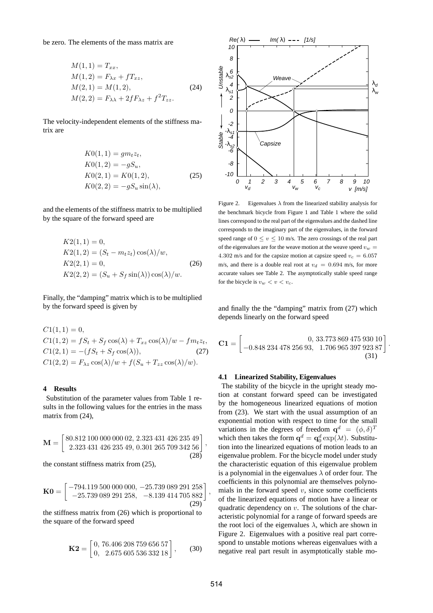be zero. The elements of the mass matrix are

$$
M(1, 1) = T_{xx},
$$
  
\n
$$
M(1, 2) = F_{\lambda x} + f T_{xz},
$$
  
\n
$$
M(2, 1) = M(1, 2),
$$
  
\n
$$
M(2, 2) = F_{\lambda \lambda} + 2f F_{\lambda z} + f^{2} T_{zz}.
$$
\n(24)

The velocity-independent elements of the stiffness matrix are

$$
K0(1,1) = gm_t z_t,
$$
  
\n
$$
K0(1,2) = -gS_u,
$$
  
\n
$$
K0(2,1) = K0(1,2),
$$
  
\n
$$
K0(2,2) = -gS_u \sin(\lambda),
$$
\n(25)

and the elements of the stiffness matrix to be multiplied by the square of the forward speed are

$$
K2(1, 1) = 0,
$$
  
\n
$$
K2(1, 2) = (S_t - m_t z_t) \cos(\lambda)/w,
$$
  
\n
$$
K2(2, 1) = 0,
$$
  
\n
$$
K2(2, 2) = (S_u + S_f \sin(\lambda)) \cos(\lambda)/w.
$$
 (26)

Finally, the "damping" matrix which is to be multiplied by the forward speed is given by

$$
C1(1, 1) = 0,C1(1, 2) = fS_t + S_f \cos(\lambda) + T_{xz} \cos(\lambda)/w - fm_t z_t,C1(2, 1) = -(fS_t + S_f \cos(\lambda)),
$$
(27)  

$$
C1(2, 2) = F_{\lambda z} \cos(\lambda)/w + f(S_u + T_{zz} \cos(\lambda)/w).
$$

### **4 Results**

Substitution of the parameter values from Table 1 results in the following values for the entries in the mass matrix from  $(24)$ ,

$$
\mathbf{M} = \begin{bmatrix} 80.812\ 100\ 000\ 000\ 02, 2.323\ 431\ 426\ 235\ 49 \\ 2.323\ 431\ 426\ 235\ 49, 0.301\ 265\ 709\ 342\ 56 \\ 28 \end{bmatrix},
$$

the constant stiffness matrix from (25),

$$
\mathbf{K0} = \begin{bmatrix} -794.119\ 500\ 000\ 000, -25.739\ 089\ 291\ 258\\ -25.739\ 089\ 291\ 258, & -8.139\ 414\ 705\ 882 \end{bmatrix} \tag{29}
$$

the stiffness matrix from (26) which is proportional to the square of the forward speed

$$
\mathbf{K2} = \begin{bmatrix} 0, 76.406\,208\,759\,656\,57\\ 0, 2.675\,605\,536\,332\,18 \end{bmatrix},\qquad(30)
$$



Figure 2. Eigenvalues  $\lambda$  from the linearized stability analysis for the benchmark bicycle from Figure 1 and Table 1 where the solid lines correspond to the real part of the eigenvalues and the dashed line corresponds to the imaginary part of the eigenvalues, in the forward speed range of  $0 \le v \le 10$  m/s. The zero crossings of the real part of the eigenvalues are for the weave motion at the weave speed  $v_w =$ 4.302 m/s and for the capsize motion at capsize speed  $v_c = 6.057$ m/s, and there is a double real root at  $v_d = 0.694$  m/s, for more accurate values see Table 2. The asymptotically stable speed range for the bicycle is  $v_w < v < v_c$ .

and finally the the "damping" matrix from (27) which depends linearly on the forward speed

$$
\mathbf{C1} = \begin{bmatrix} 0, 33.773 869 475 930 10 \\ -0.848 234 478 256 93, 1.706 965 397 923 87 \end{bmatrix}.
$$
\n(31)

### **4.1 Linearized Stability, Eigenvalues**

The stability of the bicycle in the upright steady motion at constant forward speed can be investigated by the homogeneous linearized equations of motion from (23). We start with the usual assumption of an exponential motion with respect to time for the small variations in the degrees of freedom  $\mathbf{q}^d = (\phi, \delta)^T$ which then takes the form  $\mathbf{q}^d = \mathbf{q}_0^d \exp(\lambda t)$ . Substitution into the linearized equations of motion leads to an eigenvalue problem. For the bicycle model under study the characteristic equation of this eigenvalue problem is a polynomial in the eigenvalues  $\lambda$  of order four. The coefficients in this polynomial are themselves polynomials in the forward speed  $v$ , since some coefficients of the linearized equations of motion have a linear or quadratic dependency on  $v$ . The solutions of the characteristic polynomial for a range of forward speeds are the root loci of the eigenvalues  $\lambda$ , which are shown in Figure 2. Eigenvalues with a positive real part correspond to unstable motions whereas eigenvalues with a negative real part result in asymptotically stable mo-

,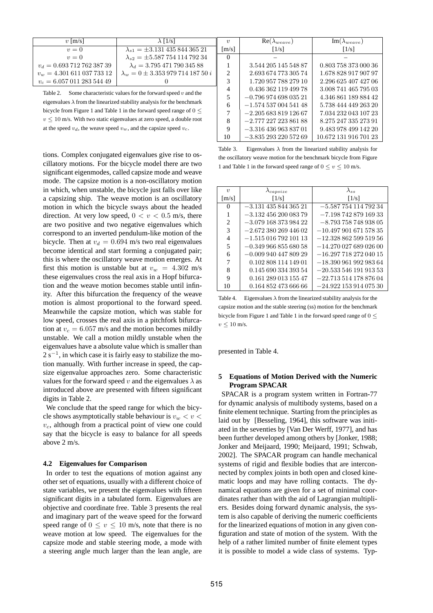| $\lambda$ [1/s]                               | $\eta$                        |
|-----------------------------------------------|-------------------------------|
| $\lambda_{s1} = \pm 3.131\,435\,844\,365\,21$ | $\mathsf{m}/$                 |
| $\lambda_{s2} = \pm 5.58775411479234$         | 0                             |
| $\lambda_d = 3.795\,471\,790\,345\,88$        | 1                             |
| $\lambda_w = 0 \pm 3.35397971418750i$         | $\mathfrak{D}_{\mathfrak{p}}$ |
|                                               | $\mathcal{F}$                 |
|                                               |                               |

Table 2. Some characteristic values for the forward speed  $v$  and the eigenvalues  $\lambda$  from the linearized stability analysis for the benchmark bicycle from Figure 1 and Table 1 in the forward speed range of  $0 \leq$  $v \le 10$  m/s. With two static eigenvalues at zero speed, a double root at the speed  $v_d$ , the weave speed  $v_w$ , and the capsize speed  $v_c$ .

tions. Complex conjugated eigenvalues give rise to oscillatory motions. For the bicycle model there are two significant eigenmodes, called capsize mode and weave mode. The capsize motion is a non-oscillatory motion in which, when unstable, the bicycle just falls over like a capsizing ship. The weave motion is an oscillatory motion in which the bicycle sways about the headed direction. At very low speed,  $0 < v < 0.5$  m/s, there are two positive and two negative eigenvalues which correspond to an inverted pendulum-like motion of the bicycle. Then at  $v_d = 0.694$  m/s two real eigenvalues become identical and start forming a conjugated pair; this is where the oscillatory weave motion emerges. At first this motion is unstable but at  $v_w = 4.302$  m/s these eigenvalues cross the real axis in a Hopf bifurcation and the weave motion becomes stable until infinity. After this bifurcation the frequency of the weave motion is almost proportional to the forward speed. Meanwhile the capsize motion, which was stable for low speed, crosses the real axis in a pitchfork bifurcation at  $v_c = 6.057$  m/s and the motion becomes mildly unstable. We call a motion mildly unstable when the eigenvalues have a absolute value which is smaller than  $2 s^{-1}$ , in which case it is fairly easy to stabilize the motion manually. With further increase in speed, the capsize eigenvalue approaches zero. Some characteristic values for the forward speed v and the eigenvalues  $\lambda$  as introduced above are presented with fifteen significant digits in Table 2.

We conclude that the speed range for which the bicycle shows asymptotically stable behaviour is  $v_w < v <$  $v_c$ , although from a practical point of view one could say that the bicycle is easy to balance for all speeds above 2 m/s.

#### **4.2 Eigenvalues for Comparison**

In order to test the equations of motion against any other set of equations, usually with a different choice of state variables, we present the eigenvalues with fifteen significant digits in a tabulated form. Eigenvalues are objective and coordinate free. Table 3 presents the real and imaginary part of the weave speed for the forward speed range of  $0 \le v \le 10$  m/s, note that there is no weave motion at low speed. The eigenvalues for the capsize mode and stable steering mode, a mode with a steering angle much larger than the lean angle, are

| $\boldsymbol{\eta}$         | $Re(\lambda_{weave})$   | $\text{Im}(\lambda_{weave})$ |  |  |  |
|-----------------------------|-------------------------|------------------------------|--|--|--|
| $\lceil m/s \rceil$         | $\lceil 1/s \rceil$     | $\lceil 1/s \rceil$          |  |  |  |
|                             |                         |                              |  |  |  |
|                             | 3.544 205 145 548 87    | 0.803 758 373 000 36         |  |  |  |
| $\mathcal{D}_{\mathcal{L}}$ | 2.693 674 773 305 74    | 1.678 828 917 907 97         |  |  |  |
| 3                           | 1.720 957 788 279 10    | 2.296 625 407 427 06         |  |  |  |
| 4                           | 0.436 362 119 499 78    | 3.008 741 465 795 03         |  |  |  |
| 5                           | $-0.79697469803521$     | 4.346 861 189 884 42         |  |  |  |
| 6                           | $-1.57453700454148$     | 5.738 444 449 263 20         |  |  |  |
|                             | $-2.20568381912667$     | 7.034 232 043 107 23         |  |  |  |
| 8                           | $-2.77722722386188$     | 8.275 247 335 273 91         |  |  |  |
| 9                           | $-3.316$ 436 963 837 01 | 9.483 978 499 142 20         |  |  |  |
| 10                          | $-3.83529322057269$     | 10.672 131 916 701 23        |  |  |  |

Table 3. Eigenvalues  $\lambda$  from the linearized stability analysis for the oscillatory weave motion for the benchmark bicycle from Figure 1 and Table 1 in the forward speed range of  $0 \le v \le 10$  m/s.

| $\eta$              | $\lambda_{capsize}$         | $\lambda$ ss                 |
|---------------------|-----------------------------|------------------------------|
| $\lceil m/s \rceil$ | $\lceil 1/s \rceil$         | [1/s]                        |
| 0                   | $-3.131\,435\,844\,365\,21$ | $-5.587\,754\,114\,792\,34$  |
|                     | $-3.13245620008379$         | $-7.19874287916933$          |
| 2                   | $-3.079$ 168 373 984 22     | $-8.793\ 758\ 748\ 938\ 05$  |
| 3                   | $-2.67238026944602$         | $-10.49790167157835$         |
| 4                   | $-1.51501679210113$         | $-12.32886259951956$         |
| 5                   | $-0.34996685568058$         | $-14.270\,027\,689\,026\,00$ |
| 6                   | $-0.00994044780929$         | $-16.29771827204015$         |
| 7                   | 0.102 808 114 149 01        | $-18.39096199298364$         |
| 8                   | 0.145 690 334 393 54        | $-20.533\,546\,191\,913\,53$ |
| 9                   | 0.161 289 013 155 47        | $-22.713\ 514\ 178\ 876\ 04$ |
| 10                  | 0.164 852 473 666 66        | $-24.922\ 153\ 914\ 075\ 30$ |

Table 4. Eigenvalues  $\lambda$  from the linearized stability analysis for the capsize motion and the stable steering (ss) motion for the benchmark bicycle from Figure 1 and Table 1 in the forward speed range of  $0 \leq$  $v \leq 10$  m/s.

presented in Table 4.

### **5 Equations of Motion Derived with the Numeric Program SPACAR**

SPACAR is a program system written in Fortran-77 for dynamic analysis of multibody systems, based on a finite element technique. Starting from the principles as laid out by [Besseling, 1964], this software was initiated in the seventies by [Van Der Werff, 1977], and has been further developed among others by [Jonker, 1988; Jonker and Meijaard, 1990; Meijaard, 1991; Schwab, 2002]. The SPACAR program can handle mechanical systems of rigid and flexible bodies that are interconnected by complex joints in both open and closed kinematic loops and may have rolling contacts. The dynamical equations are given for a set of minimal coordinates rather than with the aid of Lagrangian multipliers. Besides doing forward dynamic analysis, the system is also capable of deriving the numeric coefficients for the linearized equations of motion in any given configuration and state of motion of the system. With the help of a rather limited number of finite element types it is possible to model a wide class of systems. Typ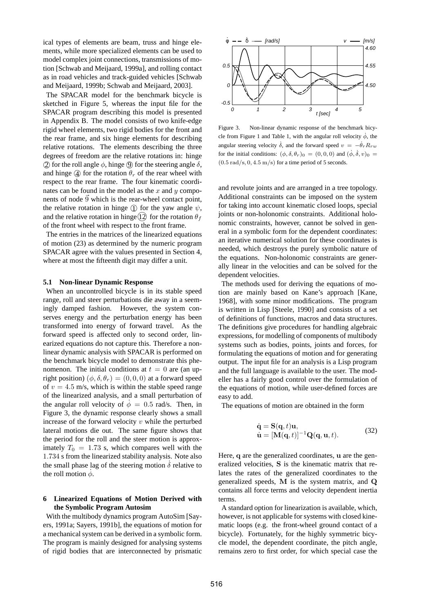ical types of elements are beam, truss and hinge elements, while more specialized elements can be used to model complex joint connections, transmissions of motion [Schwab and Meijaard, 1999a], and rolling contact as in road vehicles and track-guided vehicles [Schwab and Meijaard, 1999b; Schwab and Meijaard, 2003].

The SPACAR model for the benchmark bicycle is sketched in Figure 5, whereas the input file for the SPACAR program describing this model is presented in Appendix B. The model consists of two knife-edge rigid wheel elements, two rigid bodies for the front and the rear frame, and six hinge elements for describing relative rotations. The elements describing the three degrees of freedom are the relative rotations in: hinge  $\Omega$  for the roll angle  $\phi$ , hinge  $\Theta$  for the steering angle  $\delta$ , and hinge  $\ddot{q}$  for the rotation  $\theta_r$  of the rear wheel with respect to the rear frame. The four kinematic coordinates can be found in the model as the  $x$  and  $y$  components of node  $\overline{9}$  which is the rear-wheel contact point, the relative rotation in hinge  $\Gamma$  for the yaw angle  $\psi$ , and the relative rotation in hinge  $(12)$  for the rotation  $\theta_f$ of the front wheel with respect to the front frame.

The entries in the matrices of the linearized equations of motion (23) as determined by the numeric program SPACAR agree with the values presented in Section 4, where at most the fifteenth digit may differ a unit.

### **5.1 Non-linear Dynamic Response**

When an uncontrolled bicycle is in its stable speed range, roll and steer perturbations die away in a seemingly damped fashion. However, the system conserves energy and the perturbation energy has been transformed into energy of forward travel. As the forward speed is affected only to second order, linearized equations do not capture this. Therefore a nonlinear dynamic analysis with SPACAR is performed on the benchmark bicycle model to demonstrate this phenomenon. The initial conditions at  $t = 0$  are (an upright position)  $(\phi, \delta, \theta_r) = (0, 0, 0)$  at a forward speed of  $v = 4.5$  m/s, which is within the stable speed range of the linearized analysis, and a small perturbation of the angular roll velocity of  $\phi = 0.5$  rad/s. Then, in Figure 3, the dynamic response clearly shows a small increase of the forward velocity  $v$  while the perturbed lateral motions die out. The same figure shows that the period for the roll and the steer motion is approximately  $T_0 = 1.73$  s, which compares well with the 1.734 s from the linearized stability analysis. Note also the small phase lag of the steering motion  $\delta$  relative to the roll motion  $\dot{\phi}$ .

## **6 Linearized Equations of Motion Derived with the Symbolic Program Autosim**

With the multibody dynamics program AutoSim [Sayers, 1991a; Sayers, 1991b], the equations of motion for a mechanical system can be derived in a symbolic form. The program is mainly designed for analysing systems of rigid bodies that are interconnected by prismatic



Figure 3. Non-linear dynamic response of the benchmark bicycle from Figure 1 and Table 1, with the angular roll velocity  $\dot{\phi}$ , the angular steering velocity  $\dot{\delta}$ , and the forward speed  $v = -\dot{\theta}_r R_{rw}$ for the initial conditions:  $(\phi, \delta, \theta_r)_0 = (0, 0, 0)$  and  $(\dot{\phi}, \dot{\delta}, v)_0 =$  $(0.5 \text{ rad/s}, 0, 4.5 \text{ m/s})$  for a time period of 5 seconds.

and revolute joints and are arranged in a tree topology. Additional constraints can be imposed on the system for taking into account kinematic closed loops, special joints or non-holonomic constraints. Additional holonomic constraints, however, cannot be solved in general in a symbolic form for the dependent coordinates: an iterative numerical solution for these coordinates is needed, which destroys the purely symbolic nature of the equations. Non-holonomic constraints are generally linear in the velocities and can be solved for the dependent velocities.

The methods used for deriving the equations of motion are mainly based on Kane's approach [Kane, 1968], with some minor modifications. The program is written in Lisp [Steele, 1990] and consists of a set of definitions of functions, macros and data structures. The definitions give procedures for handling algebraic expressions, for modelling of components of multibody systems such as bodies, points, joints and forces, for formulating the equations of motion and for generating output. The input file for an analysis is a Lisp program and the full language is available to the user. The modeller has a fairly good control over the formulation of the equations of motion, while user-defined forces are easy to add.

The equations of motion are obtained in the form

$$
\dot{\mathbf{q}} = \mathbf{S}(\mathbf{q}, t)\mathbf{u}, \n\dot{\mathbf{u}} = [\mathbf{M}(\mathbf{q}, t)]^{-1} \mathbf{Q}(\mathbf{q}, \mathbf{u}, t).
$$
\n(32)

Here, q are the generalized coordinates, u are the generalized velocities, S is the kinematic matrix that relates the rates of the generalized coordinates to the generalized speeds, M is the system matrix, and Q contains all force terms and velocity dependent inertia terms.

A standard option for linearization is available, which, however, is not applicable for systems with closed kinematic loops (e.g. the front-wheel ground contact of a bicycle). Fortunately, for the highly symmetric bicycle model, the dependent coordinate, the pitch angle, remains zero to first order, for which special case the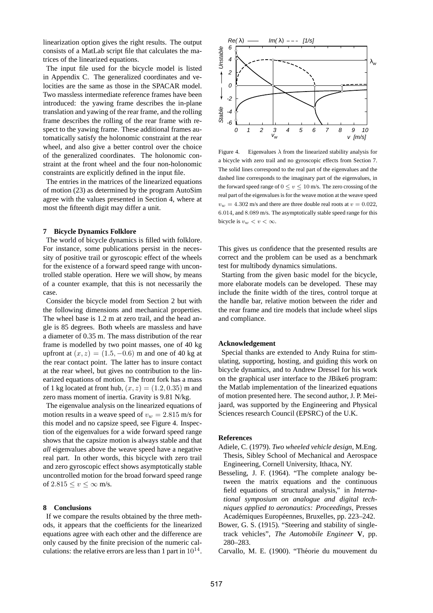linearization option gives the right results. The output consists of a MatLab script file that calculates the matrices of the linearized equations.

The input file used for the bicycle model is listed in Appendix C. The generalized coordinates and velocities are the same as those in the SPACAR model. Two massless intermediate reference frames have been introduced: the yawing frame describes the in-plane translation and yawing of the rear frame, and the rolling frame describes the rolling of the rear frame with respect to the yawing frame. These additional frames automatically satisfy the holonomic constraint at the rear wheel, and also give a better control over the choice of the generalized coordinates. The holonomic constraint at the front wheel and the four non-holonomic constraints are explicitly defined in the input file.

The entries in the matrices of the linearized equations of motion (23) as determined by the program AutoSim agree with the values presented in Section 4, where at most the fifteenth digit may differ a unit.

### **7 Bicycle Dynamics Folklore**

The world of bicycle dynamics is filled with folklore. For instance, some publications persist in the necessity of positive trail or gyroscopic effect of the wheels for the existence of a forward speed range with uncontrolled stable operation. Here we will show, by means of a counter example, that this is not necessarily the case.

Consider the bicycle model from Section 2 but with the following dimensions and mechanical properties. The wheel base is 1.2 m at zero trail, and the head angle is 85 degrees. Both wheels are massless and have a diameter of 0.35 m. The mass distribution of the rear frame is modelled by two point masses, one of 40 kg upfront at  $(x, z) = (1.5, -0.6)$  m and one of 40 kg at the rear contact point. The latter has to insure contact at the rear wheel, but gives no contribution to the linearized equations of motion. The front fork has a mass of 1 kg located at front hub,  $(x, z) = (1.2, 0.35)$  m and zero mass moment of inertia. Gravity is 9.81 N/kg.

The eigenvalue analysis on the linearized equations of motion results in a weave speed of  $v_w = 2.815$  m/s for this model and no capsize speed, see Figure 4. Inspection of the eigenvalues for a wide forward speed range shows that the capsize motion is always stable and that *all* eigenvalues above the weave speed have a negative real part. In other words, this bicycle with zero trail and zero gyroscopic effect shows asymptotically stable uncontrolled motion for the broad forward speed range of  $2.815 \le v \le \infty$  m/s.

## **8 Conclusions**

If we compare the results obtained by the three methods, it appears that the coefficients for the linearized equations agree with each other and the difference are only caused by the finite precision of the numeric calculations: the relative errors are less than 1 part in  $10^{14}$ .



Figure 4. Eigenvalues  $\lambda$  from the linearized stability analysis for a bicycle with zero trail and no gyroscopic effects from Section 7. The solid lines correspond to the real part of the eigenvalues and the dashed line corresponds to the imaginary part of the eigenvalues, in the forward speed range of  $0 \le v \le 10$  m/s. The zero crossing of the real part of the eigenvalues is for the weave motion at the weave speed  $v_w = 4.302$  m/s and there are three double real roots at  $v = 0.022$ , 6.014, and 8.089 m/s. The asymptotically stable speed range for this bicycle is  $v_w < v < \infty$ .

This gives us confidence that the presented results are correct and the problem can be used as a benchmark test for multibody dynamics simulations.

Starting from the given basic model for the bicycle, more elaborate models can be developed. These may include the finite width of the tires, control torque at the handle bar, relative motion between the rider and the rear frame and tire models that include wheel slips and compliance.

#### **Acknowledgement**

Special thanks are extended to Andy Ruina for stimulating, supporting, hosting, and guiding this work on bicycle dynamics, and to Andrew Dressel for his work on the graphical user interface to the JBike6 program: the Matlab implementation of the linearized equations of motion presented here. The second author, J. P. Meijaard, was supported by the Engineering and Physical Sciences research Council (EPSRC) of the U.K.

### **References**

- Adiele, C. (1979). *Two wheeled vehicle design*, M.Eng. Thesis, Sibley School of Mechanical and Aerospace Engineering, Cornell University, Ithaca, NY.
- Besseling, J. F. (1964). "The complete analogy between the matrix equations and the continuous field equations of structural analysis," in *International symposium on analogue and digital techniques applied to aeronautics: Proceedings*, Presses Académiques Européennes, Bruxelles, pp. 223–242.
- Bower, G. S. (1915). "Steering and stability of singletrack vehicles", *The Automobile Engineer* **V**, pp. 280–283.

Carvallo, M. E. (1900). "Theorie du mouvement du ´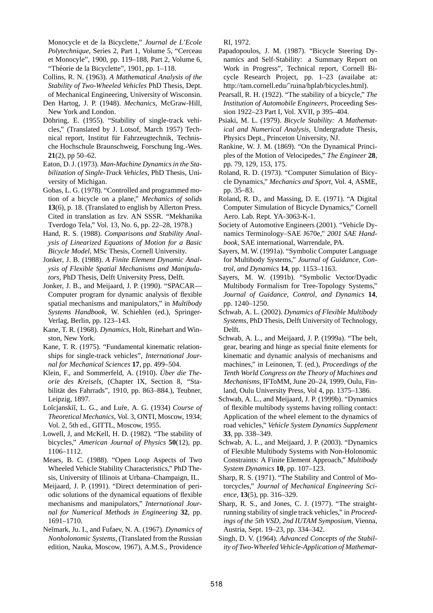Monocycle et de la Bicyclette," *Journal de L'Ecole Polytechnique*, Series 2, Part 1, Volume 5, "Cerceau et Monocyle", 1900, pp. 119–188, Part 2, Volume 6, "Théorie de la Bicyclette", 1901, pp. 1-118.

- Collins, R. N. (1963). *A Mathematical Analysis of the Stability of Two-Wheeled Vehicles* PhD Thesis, Dept. of Mechanical Engineering, University of Wisconsin.
- Den Hartog, J. P. (1948). *Mechanics*, McGraw-Hill, New York and London.
- Döhring, E. (1955). "Stability of single-track vehicles," (Translated by J. Lotsof, March 1957) Technical report, Institut für Fahrzeugtechnik, Technische Hochschule Braunschweig, Forschung Ing.-Wes. **21**(2), pp 50–62.
- Eaton, D. J. (1973). *Man-Machine Dynamics in the Stabilization of Single-Track Vehicles*, PhD Thesis, University of Michigan.
- Gobas, L. G. (1978). "Controlled and programmed motion of a bicycle on a plane," *Mechanics of solids* **13**(6), p. 18. (Translated to english by Allerton Press. Cited in translation as Izv. AN SSSR. "Mekhanika Tverdogo Tela," Vol. 13, No. 6, pp. 22–28, 1978.)
- Hand, R. S. (1988). *Comparisons and Stability Analysis of Linearized Equations of Motion for a Basic Bicycle Model*, MSc Thesis, Cornell University.
- Jonker, J. B. (1988). *A Finite Element Dynamic Analysis of Flexible Spatial Mechanisms and Manipulators,* PhD Thesis, Delft University Press, Delft.
- Jonker, J. B., and Meijaard, J. P. (1990). "SPACAR— Computer program for dynamic analysis of flexible spatial mechanisms and manipulators," in *Multibody Systems Handbook*, W. Schiehlen (ed.), Springer-Verlag, Berlin, pp. 123–143.
- Kane, T. R. (1968). *Dynamics*, Holt, Rinehart and Winston, New York.
- Kane, T. R. (1975). "Fundamental kinematic relationships for single-track vehicles", *International Journal for Mechanical Sciences* **17**, pp. 499–504.
- Klein, F., and Sommerfeld, A. (1910). *Über die Theorie des Kreisels*, (Chapter IX, Section 8, "Stabilität des Fahrrads", 1910, pp. 863–884.), Teubner, Leipzig, 1897.
- Loĭcjanskiĭ, L. G., and Luŕe, A. G. (1934) *Course of Theoretical Mechanics*, Vol. 3, ONTI, Moscow, 1934; Vol. 2, 5th ed., GITTL, Moscow, 1955.
- Lowell, J, and McKell, H. D. (1982). "The stability of bicycles," *American Journal of Physics* **50**(12), pp. 1106–1112.
- Mears, B. C. (1988). "Open Loop Aspects of Two Wheeled Vehicle Stability Characteristics," PhD Thesis, University of Illinois at Urbana–Champaign, IL.
- Meijaard, J. P. (1991). "Direct determination of periodic solutions of the dynamical equations of flexible mechanisms and manipulators," *International Journal for Numerical Methods in Engineering* **32**, pp. 1691–1710.
- Ne˘ımark, Ju. I., and Fufaev, N. A. (1967). *Dynamics of Nonholonomic Systems*, (Translated from the Russian edition, Nauka, Moscow, 1967), A.M.S., Providence

RI, 1972.

- Papadopoulos, J. M. (1987). "Bicycle Steering Dynamics and Self-Stability: a Summary Report on Work in Progress", Technical report, Cornell Bicycle Research Project, pp. 1–23 (availabe at: http://tam.cornell.edu/˜ruina/hplab/bicycles.html).
- Pearsall, R. H. (1922). "The stability of a bicycle," *The Institution of Automobile Engineers*, Proceeding Session 1922–23 Part I, Vol. XVII, p 395–404.
- Psiaki, M. L. (1979). *Bicycle Stability: A Mathematical and Numerical Analysis*, Undergradute Thesis, Physics Dept., Princeton University, NJ.
- Rankine, W. J. M. (1869). "On the Dynamical Principles of the Motion of Velocipedes," *The Engineer* **28**, pp. 79, 129, 153, 175.
- Roland, R. D. (1973). "Computer Simulation of Bicycle Dynamics," *Mechanics and Sport*, Vol. 4, ASME, pp. 35–83.
- Roland, R. D., and Massing, D. E. (1971). "A Digital Computer Simulation of Bicycle Dynamics," Cornell Aero. Lab. Rept. YA-3063-K-1.
- Society of Automotive Engineers (2001). "Vehicle Dynamics Terminology–SAE J670e," *2001 SAE Handbook*, SAE international, Warrendale, PA.
- Sayers, M. W. (1991a). "Symbolic Computer Language for Multibody Systems," *Journal of Guidance, Control, and Dynamics* **14**, pp. 1153–1163.
- Sayers, M. W. (1991b). "Symbolic Vector/Dyadic Multibody Formalism for Tree-Topology Systems," *Journal of Guidance, Control, and Dynamics* **14**, pp. 1240–1250.
- Schwab, A. L. (2002). *Dynamics of Flexible Multibody Systems,* PhD Thesis, Delft University of Technology, Delft.
- Schwab, A. L., and Meijaard, J. P. (1999a). "The belt, gear, bearing and hinge as special finite elements for kinematic and dynamic analysis of mechanisms and machines," in Leinonen, T. (ed.), *Proceedings of the Tenth World Congress on the Theory of Machines and Mechanisms*, IFToMM, June 20–24, 1999, Oulu, Finland, Oulu University Press, Vol 4, pp. 1375–1386.
- Schwab, A. L., and Meijaard, J. P. (1999b). "Dynamics of flexible multibody systems having rolling contact: Application of the wheel element to the dynamics of road vehicles," *Vehicle System Dynamics Supplement* **33**, pp. 338–349.
- Schwab, A. L., and Meijaard, J. P. (2003). "Dynamics of Flexible Multibody Systems with Non-Holonomic Constraints: A Finite Element Approach," *Multibody System Dynamics* **10**, pp. 107–123.
- Sharp, R. S. (1971). "The Stability and Control of Motorcycles," *Journal of Mechanical Engineering Science*, **13**(5), pp. 316–329.
- Sharp, R. S., and Jones, C. J. (1977). "The straightrunning stability of single track vehicles," in *Proceedings of the 5th VSD, 2nd IUTAM Symposium*, Vienna, Austria, Sept. 19–23, pp. 334–342.
- Singh, D. V. (1964). *Advanced Concepts of the Stability of Two-Wheeled Vehicle-Application of Mathemat-*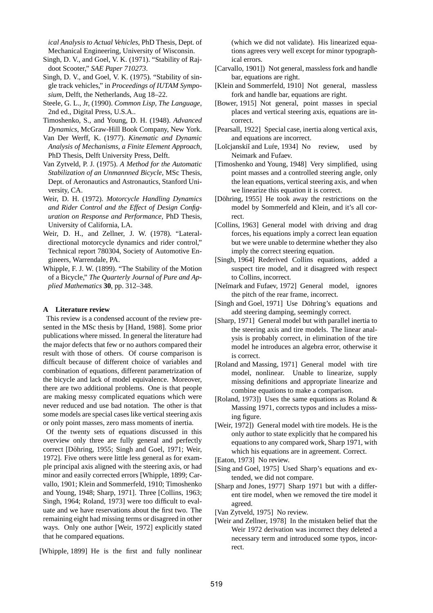*ical Analysis to Actual Vehicles*, PhD Thesis, Dept. of Mechanical Engineering, University of Wisconsin.

- Singh, D. V., and Goel, V. K. (1971). "Stability of Rajdoot Scooter," *SAE Paper 710273*.
- Singh, D. V., and Goel, V. K. (1975). "Stability of single track vehicles," in *Proceedings of IUTAM Symposium*, Delft, the Netherlands, Aug 18–22.
- Steele, G. L., Jr, (1990). *Common Lisp, The Language*, 2nd ed., Digital Press, U.S.A..
- Timoshenko, S., and Young, D. H. (1948). *Advanced Dynamics*, McGraw-Hill Book Company, New York.
- Van Der Werff, K. (1977). *Kinematic and Dynamic Analysis of Mechanisms, a Finite Element Approach,* PhD Thesis, Delft University Press, Delft.
- Van Zytveld, P. J. (1975). *A Method for the Automatic Stabilization of an Unmannned Bicycle*, MSc Thesis, Dept. of Aeronautics and Astronautics, Stanford University, CA.
- Weir, D. H. (1972). *Motorcycle Handling Dynamics and Rider Control and the Effect of Design Configuration on Response and Performance*, PhD Thesis, University of California, LA.
- Weir, D. H., and Zellner, J. W. (1978). "Lateraldirectional motorcycle dynamics and rider control," Technical report 780304, Society of Automotive Engineers, Warrendale, PA.
- Whipple, F. J. W. (1899). "The Stability of the Motion of a Bicycle," *The Quarterly Journal of Pure and Applied Mathematics* **30**, pp. 312–348.

### **A Literature review**

This review is a condensed account of the review presented in the MSc thesis by [Hand, 1988]. Some prior publications where missed. In general the literature had the major defects that few or no authors compared their result with those of others. Of course comparison is difficult because of different choice of variables and combination of equations, different parametrization of the bicycle and lack of model equivalence. Moreover, there are two additional problems. One is that people are making messy complicated equations which were never reduced and use bad notation. The other is that some models are special cases like vertical steering axis or only point masses, zero mass moments of inertia.

Of the twenty sets of equations discussed in this overview only three are fully general and perfectly correct [Döhring, 1955; Singh and Goel, 1971; Weir, 1972]. Five others were little less general as for example principal axis aligned with the steering axis, or had minor and easily corrected errors [Whipple, 1899; Carvallo, 1901; Klein and Sommerfeld, 1910; Timoshenko and Young, 1948; Sharp, 1971]. Three [Collins, 1963; Singh, 1964; Roland, 1973] were too difficult to evaluate and we have reservations about the first two. The remaining eight had missing terms or disagreed in other ways. Only one author [Weir, 1972] explicitly stated that he compared equations.

[Whipple, 1899] He is the first and fully nonlinear

(which we did not validate). His linearized equations agrees very well except for minor typographical errors.

- [Carvallo, 1901]) Not general, massless fork and handle bar, equations are right.
- [Klein and Sommerfeld, 1910] Not general, massless fork and handle bar, equations are right.
- [Bower, 1915] Not general, point masses in special places and vertical steering axis, equations are incorrect.
- [Pearsall, 1922] Special case, inertia along vertical axis, and equations are incorrect.
- [Loĭcjanskiĭ and Lufe, 1934] No review, used by Neimark and Fufaev.
- [Timoshenko and Young, 1948] Very simplified, using point masses and a controlled steering angle, only the lean equations, vertical steering axis, and when we linearize this equation it is correct.
- [Döhring, 1955] He took away the restrictions on the model by Sommerfeld and Klein, and it's all correct.
- [Collins, 1963] General model with driving and drag forces, his equations imply a correct lean equation but we were unable to determine whether they also imply the correct steering equation.
- [Singh, 1964] Rederived Collins equations, added a suspect tire model, and it disagreed with respect to Collins, incorrect.
- [Neĭmark and Fufaev, 1972] General model, ignores the pitch of the rear frame, incorrect.
- [Singh and Goel, 1971] Use Döhring's equations and add steering damping, seemingly correct.
- [Sharp, 1971] General model but with parallel inertia to the steering axis and tire models. The linear analysis is probably correct, in elimination of the tire model he introduces an algebra error, otherwise it is correct.
- [Roland and Massing, 1971] General model with tire model, nonlinear. Unable to linearize, supply missing definitions and appropriate linearize and combine equations to make a comparison.
- [Roland, 1973]) Uses the same equations as Roland & Massing 1971, corrects typos and includes a missing figure.
- [Weir, 1972]) General model with tire models. He is the only author to state explicitly that he compared his equations to any compared work, Sharp 1971, with which his equations are in agreement. Correct.

[Eaton, 1973] No review.

- [Sing and Goel, 1975] Used Sharp's equations and extended, we did not compare.
- [Sharp and Jones, 1977] Sharp 1971 but with a different tire model, when we removed the tire model it agreed.
- [Van Zytveld, 1975] No review.
- [Weir and Zellner, 1978] In the mistaken belief that the Weir 1972 derivation was incorrect they deleted a necessary term and introduced some typos, incorrect.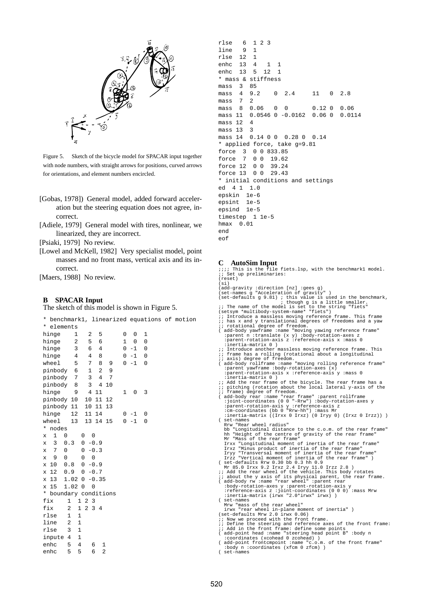

Figure 5. Sketch of the bicycle model for SPACAR input together with node numbers, with straight arrows for positions, curved arrows for orientations, and element numbers encircled.

- [Gobas, 1978]) General model, added forward acceleration but the steering equation does not agree, incorrect.
- [Adiele, 1979] General model with tires, nonlinear, we linearized, they are incorrect.

[Psiaki, 1979] No review.

[Lowel and McKell, 1982] Very specialist model, point masses and no front mass, vertical axis and its incorrect.

[Maers, 1988] No review.

### **B SPACAR Input**

The sketch of this model is shown in Figure 5.

| *       | benchmark1, linearized equations of motion |                     |                                     |                |                |              |         |          |  |
|---------|--------------------------------------------|---------------------|-------------------------------------|----------------|----------------|--------------|---------|----------|--|
| *       | elements                                   |                     |                                     |                |                |              |         |          |  |
| hinge   |                                            | 1                   | 2                                   | 5              |                | 0            | 0       | 1        |  |
| hinge   |                                            | 2                   | 5                                   | 6              |                | $\mathbf{1}$ | 0       | $\Omega$ |  |
| hinge   |                                            | 3                   | 6                                   | $\overline{4}$ |                | 0            | $-1$    | 0        |  |
| hinge   |                                            | $\overline{4}$      | 4                                   | 8              |                | 0            | $-1$    | 0        |  |
| wheel   |                                            | 5                   | 7                                   | 8              | 9              | 0            | $-1$    | 0        |  |
|         | pinbody 6                                  |                     | $\mathbf{1}$                        | $\overline{2}$ | 9              |              |         |          |  |
|         | pinbody                                    | 7                   | 3                                   | $\overline{4}$ | 7              |              |         |          |  |
|         | pinbody                                    | 8                   | 3                                   | $\overline{4}$ | 10             |              |         |          |  |
| hinge   |                                            | 9                   | $\overline{4}$                      | 11             |                | $\mathbf{1}$ | 0       | 3        |  |
|         | pinbody                                    | 10                  | 10                                  | 11             | 12             |              |         |          |  |
|         | pinbody 11                                 |                     | 10                                  | 11             | 13             |              |         |          |  |
| hinge   |                                            | 12                  | 11                                  | 14             |                |              | $0 - 1$ | 0        |  |
| wheel   |                                            | 13                  |                                     | 13 14          | 15             | 0            | $-1$    | 0        |  |
| *       | nodes                                      |                     |                                     |                |                |              |         |          |  |
| X       | 1<br>0                                     |                     | 0<br>0                              |                |                |              |         |          |  |
| X       | 3                                          | 0.3                 | $\mathsf 0$                         | $-0.9$         |                |              |         |          |  |
| X       | 7<br>0                                     |                     | 0                                   | $-0.3$         |                |              |         |          |  |
| X       | 9<br>0                                     |                     | 0<br>0                              |                |                |              |         |          |  |
| 10<br>X |                                            | 0.8                 | 0                                   | $-0.9$         |                |              |         |          |  |
| 12<br>X | 0.9                                        |                     | 0                                   | $-0.7$         |                |              |         |          |  |
| 13<br>X |                                            | 1.02                | $\mathbf 0$                         | $-0.35$        |                |              |         |          |  |
| 15<br>X |                                            | 1.02                | $\mathbf 0$<br>$\Omega$             |                |                |              |         |          |  |
| *       | boundary conditions                        |                     |                                     |                |                |              |         |          |  |
| fix     |                                            | $\mathbf 1$         | $\overline{2}$<br>$\mathbf{1}$<br>3 |                |                |              |         |          |  |
| fix     |                                            | 2<br>$\mathbf{1}$   | $\overline{a}$                      | 34             |                |              |         |          |  |
| rlse    |                                            | 1<br>$\mathbf{1}$   |                                     |                |                |              |         |          |  |
| line    |                                            | 1<br>2              |                                     |                |                |              |         |          |  |
| rlse    |                                            | 3<br>1              |                                     |                |                |              |         |          |  |
|         | inpute                                     | $\mathbf{1}$<br>4   |                                     |                |                |              |         |          |  |
| enhc    |                                            | $\overline{4}$<br>5 | 6                                   |                | 1              |              |         |          |  |
| enhc    |                                            | 5<br>5              | 6                                   |                | $\overline{2}$ |              |         |          |  |
|         |                                            |                     |                                     |                |                |              |         |          |  |

```
rlse 6 1 2 3
line 9 1
rlse 12 1
enhc 13 4 1 1
enhc 13 5 12 1
* mass & stiffness
mass 3 85
mass 4 9.2 0 2.4 11 0 2.8<br>mass 7 2
mass 7 2
mass 8 0.06 0 0 0.12 0 0.06
mass 11 0.0546 0 -0.0162 0.06 0 0.0114
mass 12 4
mass 13 \quad 3mass 14 0.14 0 0 0.28 0 0.14
* applied force, take g=9.81
force 3 0 0 833.85
force 7 0 0 19.62
force 12 0 0 39.24
force 13 0 0 29.43
* initial conditions and settings
ed 4 1 1.0
epskin 1e-6
epsint 1e-5
epsind 1e-5
timestep 1 1e-5
hmax 0.01
end
eof
```
#### **C AutoSim Input**

```
ile fiets.lsp, with the benchmark1 model.
;; Set up preliminaries:
(reset)
(si)(add-gravity :direction [nz] :gees g)<br>(set-names g "Acceleration of gravity" )
(set-names g "Acceleration of gravity")<br>
(set-defaults g 9.81); this value is used in the benchmark,<br>
\therefore The name of the model is set to the string "fiets"<br>
(3.62 \times 10^{-4} \text{ m}) and \therefore though g is a little smaller.<br>
%; frame has a rolling (rotational about a longitudinal<br>
i axis) degree of freedom.<br>
( add-body rollirame 'moving rolling reference frame"<br>
:parent yawframe :body-rotation-axes (x)<br>
:parent-rotation-axis x :reference-axi
: inertia-matrix 0 )<br>
: Add the rear frame of the bicycle. The rear frame has a<br>
:: pitching (rotation about the local lateral y-axis of the<br>
:: frame) degree of freedom.<br>
(add-body rear :name "rear frame" :parent rollfram
Rrw "Rear wheel radius"<br>
hb "Longitudinal distance to the c.o.m. of the rear frame"<br>
hb "Longitudinal distance to the c.o.m. of the rear frame"<br>
Mr "Mass of the rear frame"<br>
Irxx "Longitudinal moment of inertia of the rear
( set-names
Mrw "mass of the rear wheel"
irwx "rear wheel in-plane moment of inertia" )<br>(set-defaults Mrw 2.0 irwx 0.06)<br>;; Now we proceed with the front frame.<br>;; Define the steering and reference axes of the front frame:
;; Add in the front frame: define some points
( add-point head :name "steering head point B" :body n
:coordinates (xcohead 0 zcohead) )
( add-point frontcmpoint :name "c.o.m. of the front frame"
:body n :coordinates (xfcm 0 zfcm) )
( set-names
```